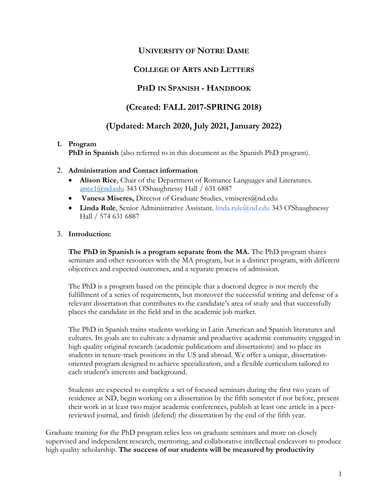# **UNIVERSITY OF NOTRE DAME**

# **COLLEGE OF ARTS AND LETTERS**

# **PHD IN SPANISH - HANDBOOK**

# **(Created: FALL 2017-SPRING 2018)**

# **(Updated: March 2020, July 2021, January 2022)**

#### **1. Program**

**PhD in Spanish** (also referred to in this document as the Spanish PhD program).

#### 2. **Administration and Contact information**

- **Alison Rice**, Chair of the Department of Romance Languages and Literatures. [arice1@nd.edu](mailto:arice1@nd.edu) 343 O'Shaughnessy Hall / 631 6887
- **Vanesa Miseres,** Director of Graduate Studies, vmiseres@nd.edu
- **Linda Rule**, Senior Administrative Assistant. linda.rule@nd.edu 343 O'Shaughnessy Hall / 574 631 6887

#### 3. **Introduction:**

**The PhD in Spanish is a program separate from the MA.** The PhD program shares seminars and other resources with the MA program, but is a distinct program, with different objectives and expected outcomes, and a separate process of admission.

The PhD is a program based on the principle that a doctoral degree is not merely the fulfillment of a series of requirements, but moreover the successful writing and defense of a relevant dissertation that contributes to the candidate's area of study and that successfully places the candidate in the field and in the academic job market.

The PhD in Spanish trains students working in Latin American and Spanish literatures and cultures. Its goals are to cultivate a dynamic and productive academic community engaged in high quality original research (academic publications and dissertations) and to place its students in tenure-track positions in the US and abroad. We offer a unique, dissertationoriented program designed to achieve specialization, and a flexible curriculum tailored to each student's interests and background.

Students are expected to complete a set of focused seminars during the first two years of residence at ND, begin working on a dissertation by the fifth semester if not before, present their work in at least two major academic conferences, publish at least one article in a peerreviewed journal, and finish (defend) the dissertation by the end of the fifth year.

Graduate training for the PhD program relies less on graduate seminars and more on closely supervised and independent research, mentoring, and collaborative intellectual endeavors to produce high quality scholarship. **The success of our students will be measured by productivity**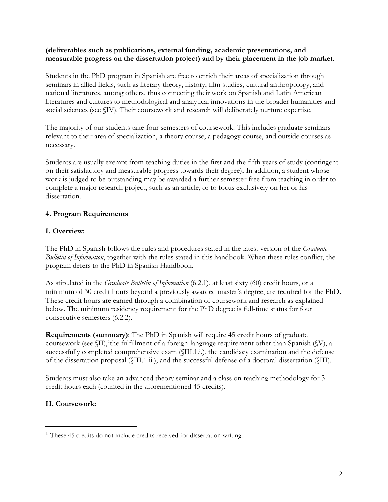#### **(deliverables such as publications, external funding, academic presentations, and measurable progress on the dissertation project) and by their placement in the job market.**

Students in the PhD program in Spanish are free to enrich their areas of specialization through seminars in allied fields, such as literary theory, history, film studies, cultural anthropology, and national literatures, among others, thus connecting their work on Spanish and Latin American literatures and cultures to methodological and analytical innovations in the broader humanities and social sciences (see §IV). Their coursework and research will deliberately nurture expertise.

The majority of our students take four semesters of coursework. This includes graduate seminars relevant to their area of specialization, a theory course, a pedagogy course, and outside courses as necessary.

Students are usually exempt from teaching duties in the first and the fifth years of study (contingent on their satisfactory and measurable progress towards their degree). In addition, a student whose work is judged to be outstanding may be awarded a further semester free from teaching in order to complete a major research project, such as an article, or to focus exclusively on her or his dissertation.

### **4. Program Requirements**

### **I. Overview:**

The PhD in Spanish follows the rules and procedures stated in the latest version of the *Graduate Bulletin of Information*, together with the rules stated in this handbook. When these rules conflict, the program defers to the PhD in Spanish Handbook.

As stipulated in the *Graduate Bulletin of Information* (6.2.1), at least sixty (60) credit hours, or a minimum of 30 credit hours beyond a previously awarded master's degree, are required for the PhD. These credit hours are earned through a combination of coursework and research as explained below. The minimum residency requirement for the PhD degree is full-time status for four consecutive semesters (6.2.2).

**Requirements (summary)**: The PhD in Spanish will require 45 credit hours of graduate coursework (see  $\langle \text{II} \rangle$ , the fulfillment of a foreign-language requirement other than Spanish ( $\langle \text{V} \rangle$ , a successfully completed comprehensive exam (§III.1.i.), the candidacy examination and the defense of the dissertation proposal (§III.1.ii.), and the successful defense of a doctoral dissertation (§III).

Students must also take an advanced theory seminar and a class on teaching methodology for 3 credit hours each (counted in the aforementioned 45 credits).

### **II. Coursework:**

<span id="page-1-0"></span> <sup>1</sup> These 45 credits do not include credits received for dissertation writing.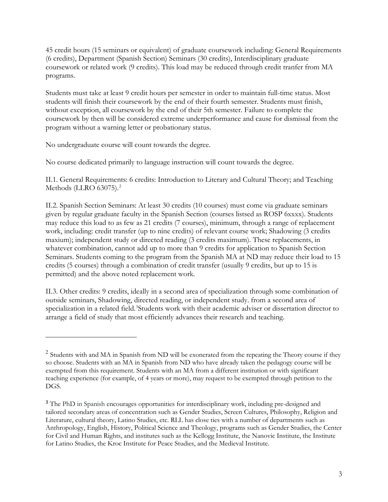45 credit hours (15 seminars or equivalent) of graduate coursework including: General Requirements (6 credits), Department (Spanish Section) Seminars (30 credits), Interdisciplinary graduate coursework or related work (9 credits). This load may be reduced through credit tranfer from MA programs.

Students must take at least 9 credit hours per semester in order to maintain full-time status. Most students will finish their coursework by the end of their fourth semester. Students must finish, without exception, all coursework by the end of their 5th semester. Failure to complete the coursework by then will be considered extreme underperformance and cause for dismissal from the program without a warning letter or probationary status.

No undergraduate course will count towards the degree.

 $\overline{a}$ 

No course dedicated primarily to language instruction will count towards the degree.

II.1. General Requirements: 6 credits: Introduction to Literary and Cultural Theory; and Teaching Methods (LLRO 63075).<sup>[2](#page-2-0)</sup>

II.2. Spanish Section Seminars: At least 30 credits (10 courses) must come via graduate seminars given by regular graduate faculty in the Spanish Section (courses listsed as ROSP 6xxxx). Students may reduce this load to as few as 21 credits (7 courses), minimum, through a range of replacement work, including: credit transfer (up to nine credits) of relevant course work; Shadowing (3 credits maxium); independent study or directed reading (3 credits maximum). These replacements, in whatever combination, cannot add up to more than 9 credits for application to Spanish Section Seminars. Students coming to the program from the Spanish MA at ND may reduce their load to 15 credits (5 courses) through a combination of credit transfer (usually 9 credits, but up to 15 is permitted) and the above noted replacement work.

II.3. Other credits: 9 credits, ideally in a second area of specialization through some combination of outside seminars, Shadowing, directed reading, or independent study. from a second area of specialization in a related field.<sup>[3](#page-2-1)</sup>Students work with their academic adviser or dissertation director to arrange a field of study that most efficiently advances their research and teaching.

<span id="page-2-0"></span><sup>&</sup>lt;sup>2</sup> Students with and MA in Spanish from ND will be exonerated from the repeating the Theory course if they so choose. Students with an MA in Spanish from ND who have already taken the pedagogy course will be exempted from this requirement. Students with an MA from a different institution or with significant teaching experience (for example, of 4 years or more), may request to be exempted through petition to the DGS.

<span id="page-2-1"></span><sup>&</sup>lt;sup>3</sup> The PhD in Spanish encourages opportunities for interdisciplinary work, including pre-designed and tailored secondary areas of concentration such as Gender Studies, Screen Cultures, Philosophy, Religion and Literature, cultural theory, Latino Studies, etc. RLL has close ties with a number of departments such as Anthropology, English, History, Political Science and Theology, programs such as Gender Studies, the Center for Civil and Human Rights, and institutes such as the Kellogg Institute, the Nanovic Institute, the Institute for Latino Studies, the Kroc Institute for Peace Studies, and the Medieval Institute.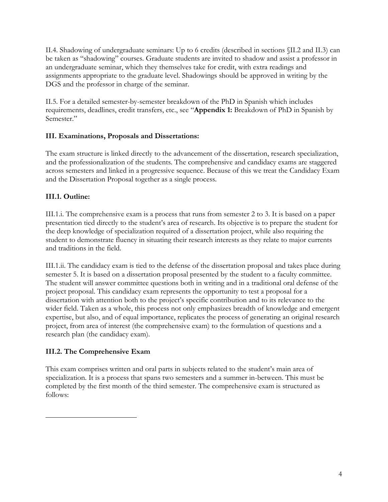II.4. Shadowing of undergraduate seminars: Up to 6 credits (described in sections §II.2 and II.3) can be taken as "shadowing" courses. Graduate students are invited to shadow and assist a professor in an undergraduate seminar, which they themselves take for credit, with extra readings and assignments appropriate to the graduate level. Shadowings should be approved in writing by the DGS and the professor in charge of the seminar.

II.5. For a detailed semester-by-semester breakdown of the PhD in Spanish which includes requirements, deadlines, credit transfers, etc., see "**Appendix 1:** Breakdown of PhD in Spanish by Semester."

### **III. Examinations, Proposals and Dissertations:**

The exam structure is linked directly to the advancement of the dissertation, research specialization, and the professionalization of the students. The comprehensive and candidacy exams are staggered across semesters and linked in a progressive sequence. Because of this we treat the Candidacy Exam and the Dissertation Proposal together as a single process.

### **III.1. Outline:**

III.1.i. The comprehensive exam is a process that runs from semester 2 to 3. It is based on a paper presentation tied directly to the student's area of research. Its objective is to prepare the student for the deep knowledge of specialization required of a dissertation project, while also requiring the student to demonstrate fluency in situating their research interests as they relate to major currents and traditions in the field.

III.1.ii. The candidacy exam is tied to the defense of the dissertation proposal and takes place during semester 5. It is based on a dissertation proposal presented by the student to a faculty committee. The student will answer committee questions both in writing and in a traditional oral defense of the project proposal. This candidacy exam represents the opportunity to test a proposal for a dissertation with attention both to the project's specific contribution and to its relevance to the wider field. Taken as a whole, this process not only emphasizes breadth of knowledge and emergent expertise, but also, and of equal importance, replicates the process of generating an original research project, from area of interest (the comprehensive exam) to the formulation of questions and a research plan (the candidacy exam).

## **III.2. The Comprehensive Exam**

 $\overline{a}$ 

This exam comprises written and oral parts in subjects related to the student's main area of specialization. It is a process that spans two semesters and a summer in-between. This must be completed by the first month of the third semester. The comprehensive exam is structured as follows: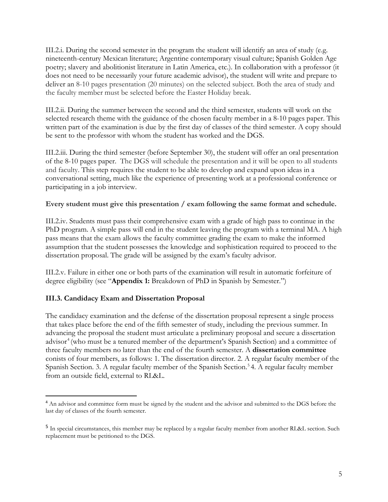III.2.i. During the second semester in the program the student will identify an area of study (e.g. nineteenth-century Mexican literature; Argentine contemporary visual culture; Spanish Golden Age poetry; slavery and abolitionist literature in Latin America, etc.). In collaboration with a professor (it does not need to be necessarily your future academic advisor), the student will write and prepare to deliver an 8-10 pages presentation (20 minutes) on the selected subject. Both the area of study and the faculty member must be selected before the Easter Holiday break.

III.2.ii. During the summer between the second and the third semester, students will work on the selected research theme with the guidance of the chosen faculty member in a 8-10 pages paper. This written part of the examination is due by the first day of classes of the third semester. A copy should be sent to the professor with whom the student has worked and the DGS.

III.2.iii. During the third semester (before September 30), the student will offer an oral presentation of the 8-10 pages paper. The DGS will schedule the presentation and it will be open to all students and faculty. This step requires the student to be able to develop and expand upon ideas in a conversational setting, much like the experience of presenting work at a professional conference or participating in a job interview.

#### **Every student must give this presentation / exam following the same format and schedule.**

III.2.iv. Students must pass their comprehensive exam with a grade of high pass to continue in the PhD program. A simple pass will end in the student leaving the program with a terminal MA. A high pass means that the exam allows the faculty committee grading the exam to make the informed assumption that the student possesses the knowledge and sophistication required to proceed to the dissertation proposal. The grade will be assigned by the exam's faculty advisor.

III.2.v. Failure in either one or both parts of the examination will result in automatic forfeiture of degree eligibility (see "**Appendix 1:** Breakdown of PhD in Spanish by Semester.")

### **III.3. Candidacy Exam and Dissertation Proposal**

The candidacy examination and the defense of the dissertation proposal represent a single process that takes place before the end of the fifth semester of study, including the previous summer. In advancing the proposal the student must articulate a preliminary proposal and secure a dissertation advisor<sup>[4](#page-4-0)</sup> (who must be a tenured member of the department's Spanish Section) and a committee of three faculty members no later than the end of the fourth semester. A **dissertation committee**  conists of four members, as follows: 1. The dissertation director. 2. A regular faculty member of the Spanish Section. 3. A regular faculty member of the Spanish Section.<sup>[5](#page-4-1)</sup> 4. A regular faculty member from an outside field, external to RL&L.

<span id="page-4-0"></span><sup>&</sup>lt;sup>4</sup> An advisor and committee form must be signed by the student and the advisor and submitted to the DGS before the last day of classes of the fourth semester.

<span id="page-4-1"></span><sup>&</sup>lt;sup>5</sup> In special circumstances, this member may be replaced by a regular faculty member from another RL&L section. Such replacement must be petitioned to the DGS.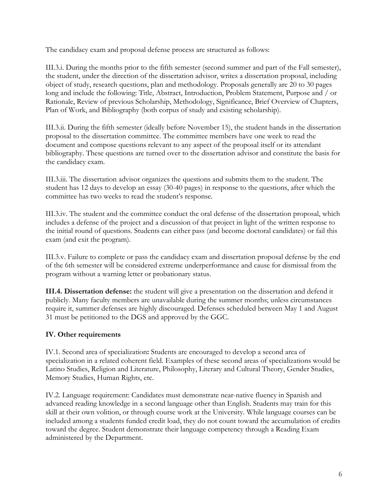The candidacy exam and proposal defense process are structured as follows:

III.3.i. During the months prior to the fifth semester (second summer and part of the Fall semester), the student, under the direction of the dissertation advisor, writes a dissertation proposal, including object of study, research questions, plan and methodology. Proposals generally are 20 to 30 pages long and include the following: Title, Abstract, Introduction, Problem Statement, Purpose and / or Rationale, Review of previous Scholarship, Methodology, Significance, Brief Overview of Chapters, Plan of Work, and Bibliography (both corpus of study and existing scholarship).

III.3.ii. During the fifth semester (ideally before November 15), the student hands in the dissertation proposal to the dissertation committee. The committee members have one week to read the document and compose questions relevant to any aspect of the proposal itself or its attendant bibliography. These questions are turned over to the dissertation advisor and constitute the basis for the candidacy exam.

III.3.iii. The dissertation advisor organizes the questions and submits them to the student. The student has 12 days to develop an essay (30-40 pages) in response to the questions, after which the committee has two weeks to read the student's response.

III.3.iv. The student and the committee conduct the oral defense of the dissertation proposal, which includes a defense of the project and a discussion of that project in light of the written response to the initial round of questions. Students can either pass (and become doctoral candidates) or fail this exam (and exit the program).

III.3.v. Failure to complete or pass the candidacy exam and dissertation proposal defense by the end of the 6th semester will be considered extreme underperformance and cause for dismissal from the program without a warning letter or probationary status.

**III.4. Dissertation defense:** the student will give a presentation on the dissertation and defend it publicly. Many faculty members are unavailable during the summer months; unless circumstances require it, summer defenses are highly discouraged. Defenses scheduled between May 1 and August 31 must be petitioned to the DGS and approved by the GGC.

### **IV. Other requirements**

IV.1. Second area of specialization**:** Students are encouraged to develop a second area of specialization in a related coherent field. Examples of these second areas of specializations would be Latino Studies, Religion and Literature, Philosophy, Literary and Cultural Theory, Gender Studies, Memory Studies, Human Rights, etc.

IV.2. Language requirement: Candidates must demonstrate near-native fluency in Spanish and advanced reading knowledge in a second language other than English. Students may train for this skill at their own volition, or through course work at the University. While language courses can be included among a students funded credit load, they do not count toward the accumulation of credits toward the degree. Student demonstrate their language competency through a Reading Exam administered by the Department.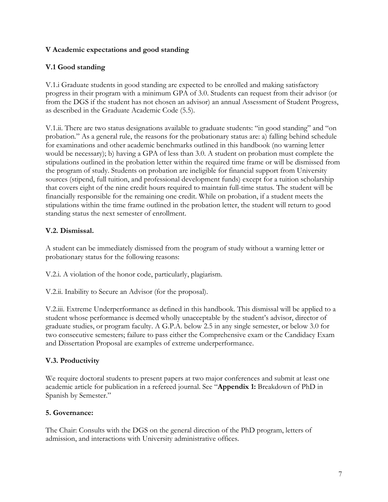#### **V Academic expectations and good standing**

### **V.1 Good standing**

V.1.i Graduate students in good standing are expected to be enrolled and making satisfactory progress in their program with a minimum GPA of 3.0. Students can request from their advisor (or from the DGS if the student has not chosen an advisor) an annual Assessment of Student Progress, as described in the Graduate Academic Code (5.5).

V.1.ii. There are two status designations available to graduate students: "in good standing" and "on probation*.*" As a general rule, the reasons for the probationary status are: a) falling behind schedule for examinations and other academic benchmarks outlined in this handbook (no warning letter would be necessary); b) having a GPA of less than 3.0. A student on probation must complete the stipulations outlined in the probation letter within the required time frame or will be dismissed from the program of study. Students on probation are ineligible for financial support from University sources (stipend, full tuition, and professional development funds) except for a tuition scholarship that covers eight of the nine credit hours required to maintain full-time status. The student will be financially responsible for the remaining one credit. While on probation, if a student meets the stipulations within the time frame outlined in the probation letter, the student will return to good standing status the next semester of enrollment.

### **V.2. Dismissal.**

A student can be immediately dismissed from the program of study without a warning letter or probationary status for the following reasons:

V.2.i. A violation of the honor code, particularly, plagiarism.

V.2.ii. Inability to Secure an Advisor (for the proposal).

V.2.iii. Extreme Underperformance as defined in this handbook. This dismissal will be applied to a student whose performance is deemed wholly unacceptable by the student's advisor, director of graduate studies, or program faculty. A G.P.A. below 2.5 in any single semester, or below 3.0 for two consecutive semesters; failure to pass either the Comprehensive exam or the Candidacy Exam and Dissertation Proposal are examples of extreme underperformance.

### **V.3. Productivity**

We require doctoral students to present papers at two major conferences and submit at least one academic article for publication in a refereed journal. See "**Appendix 1:** Breakdown of PhD in Spanish by Semester."

### **5. Governance:**

The Chair: Consults with the DGS on the general direction of the PhD program, letters of admission, and interactions with University administrative offices.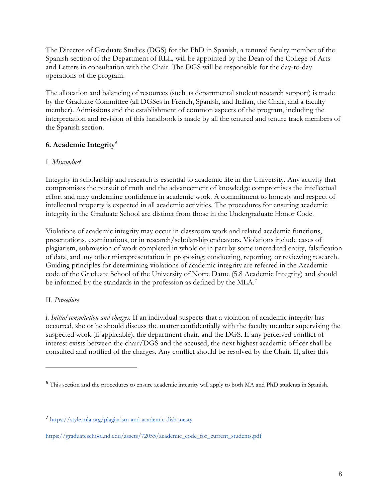The Director of Graduate Studies (DGS) for the PhD in Spanish, a tenured faculty member of the Spanish section of the Department of RLL, will be appointed by the Dean of the College of Arts and Letters in consultation with the Chair. The DGS will be responsible for the day-to-day operations of the program.

The allocation and balancing of resources (such as departmental student research support) is made by the Graduate Committee (all DGSes in French, Spanish, and Italian, the Chair, and a faculty member). Admissions and the establishment of common aspects of the program, including the interpretation and revision of this handbook is made by all the tenured and tenure track members of the Spanish section.

## **6. Academic Integrity[6](#page-7-0)**

#### I. *Misconduct*.

Integrity in scholarship and research is essential to academic life in the University. Any activity that compromises the pursuit of truth and the advancement of knowledge compromises the intellectual effort and may undermine confidence in academic work. A commitment to honesty and respect of intellectual property is expected in all academic activities. The procedures for ensuring academic integrity in the Graduate School are distinct from those in the Undergraduate Honor Code.

Violations of academic integrity may occur in classroom work and related academic functions, presentations, examinations, or in research/scholarship endeavors. Violations include cases of plagiarism, submission of work completed in whole or in part by some uncredited entity, falsification of data, and any other misrepresentation in proposing, conducting, reporting, or reviewing research. Guiding principles for determining violations of academic integrity are referred in the Academic code of the Graduate School of the University of Notre Dame (5.8 Academic Integrity) and should be informed by the standards in the profession as defined by the MLA.<sup>[7](#page-7-1)</sup>

### II. *Procedure*

 $\overline{a}$ 

i. *Initial consultation and charges.* If an individual suspects that a violation of academic integrity has occurred, she or he should discuss the matter confidentially with the faculty member supervising the suspected work (if applicable), the department chair, and the DGS. If any perceived conflict of interest exists between the chair/DGS and the accused, the next highest academic officer shall be consulted and notified of the charges. Any conflict should be resolved by the Chair. If, after this

<span id="page-7-0"></span><sup>6</sup> This section and the procedures to ensure academic integrity will apply to both MA and PhD students in Spanish.

<span id="page-7-1"></span><sup>7</sup> https://style.mla.org/plagiarism-and-academic-dishonesty

https://graduateschool.nd.edu/assets/72055/academic\_code\_for\_current\_students.pdf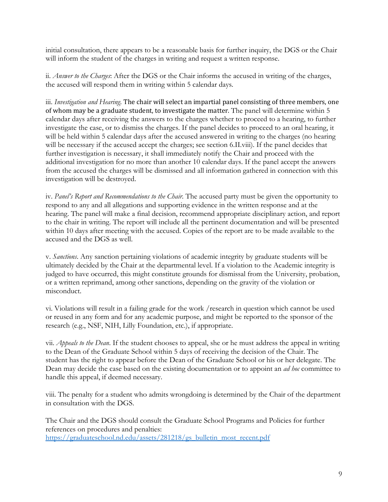initial consultation, there appears to be a reasonable basis for further inquiry, the DGS or the Chair will inform the student of the charges in writing and request a written response.

ii. *Answer to the Charges*: After the DGS or the Chair informs the accused in writing of the charges, the accused will respond them in writing within 5 calendar days.

iii. *Investigation and Hearing*. The chair will select an impartial panel consisting of three members, one of whom may be a graduate student, to investigate the matter. The panel will determine within 5 calendar days after receiving the answers to the charges whether to proceed to a hearing, to further investigate the case, or to dismiss the charges. If the panel decides to proceed to an oral hearing, it will be held within 5 calendar days after the accused answered in writing to the charges (no hearing will be necessary if the accused accept the charges; see section 6.II.viii). If the panel decides that further investigation is necessary, it shall immediately notify the Chair and proceed with the additional investigation for no more than another 10 calendar days. If the panel accept the answers from the accused the charges will be dismissed and all information gathered in connection with this investigation will be destroyed.

iv. *Panel's Report and Recommendations to the Chair.* The accused party must be given the opportunity to respond to any and all allegations and supporting evidence in the written response and at the hearing. The panel will make a final decision, recommend appropriate disciplinary action, and report to the chair in writing. The report will include all the pertinent documentation and will be presented within 10 days after meeting with the accused. Copies of the report are to be made available to the accused and the DGS as well.

v. *Sanctions*. Any sanction pertaining violations of academic integrity by graduate students will be ultimately decided by the Chair at the departmental level. If a violation to the Academic integrity is judged to have occurred, this might constitute grounds for dismissal from the University, probation, or a written reprimand, among other sanctions, depending on the gravity of the violation or misconduct.

vi. Violations will result in a failing grade for the work /research in question which cannot be used or reused in any form and for any academic purpose, and might be reported to the sponsor of the research (e.g., NSF, NIH, Lilly Foundation, etc.), if appropriate.

vii. *Appeals to the Dean*. If the student chooses to appeal, she or he must address the appeal in writing to the Dean of the Graduate School within 5 days of receiving the decision of the Chair. The student has the right to appear before the Dean of the Graduate School or his or her delegate. The Dean may decide the case based on the existing documentation or to appoint an *ad hoc* committee to handle this appeal, if deemed necessary.

viii. The penalty for a student who admits wrongdoing is determined by the Chair of the department in consultation with the DGS.

The Chair and the DGS should consult the Graduate School Programs and Policies for further references on procedures and penalties: [https://graduateschool.nd.edu/assets/281218/gs\\_bulletin\\_most\\_recent.pdf](https://graduateschool.nd.edu/assets/281218/gs_bulletin_most_recent.pdf)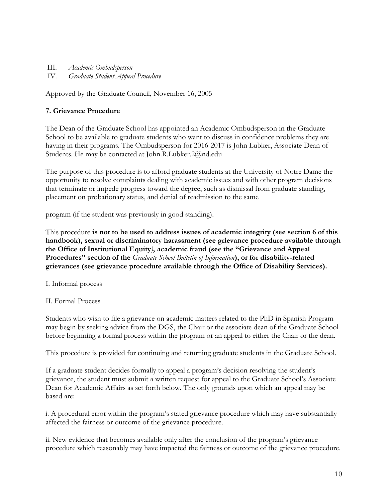III. *Academic Ombudsperson*  IV. *Graduate Student Appeal Procedure* 

Approved by the Graduate Council, November 16, 2005

### **7. Grievance Procedure**

The Dean of the Graduate School has appointed an Academic Ombudsperson in the Graduate School to be available to graduate students who want to discuss in confidence problems they are having in their programs. The Ombudsperson for 2016-2017 is John Lubker, Associate Dean of Students. He may be contacted at John.R.Lubker.2@nd.edu

The purpose of this procedure is to afford graduate students at the University of Notre Dame the opportunity to resolve complaints dealing with academic issues and with other program decisions that terminate or impede progress toward the degree, such as dismissal from graduate standing, placement on probationary status, and denial of readmission to the same

program (if the student was previously in good standing).

This procedure **is not to be used to address issues of academic integrity (see section 6 of this handbook), sexual or discriminatory harassment (see grievance procedure available through the Office of Institutional Equity***)***, academic fraud (see the "Grievance and Appeal Procedures" section of the** *Graduate School Bulletin of Information***), or for disability-related grievances (see grievance procedure available through the Office of Disability Services).** 

- I. Informal process
- II. Formal Process

Students who wish to file a grievance on academic matters related to the PhD in Spanish Program may begin by seeking advice from the DGS, the Chair or the associate dean of the Graduate School before beginning a formal process within the program or an appeal to either the Chair or the dean.

This procedure is provided for continuing and returning graduate students in the Graduate School.

If a graduate student decides formally to appeal a program's decision resolving the student's grievance, the student must submit a written request for appeal to the Graduate School's Associate Dean for Academic Affairs as set forth below. The only grounds upon which an appeal may be based are:

i. A procedural error within the program's stated grievance procedure which may have substantially affected the fairness or outcome of the grievance procedure.

ii. New evidence that becomes available only after the conclusion of the program's grievance procedure which reasonably may have impacted the fairness or outcome of the grievance procedure.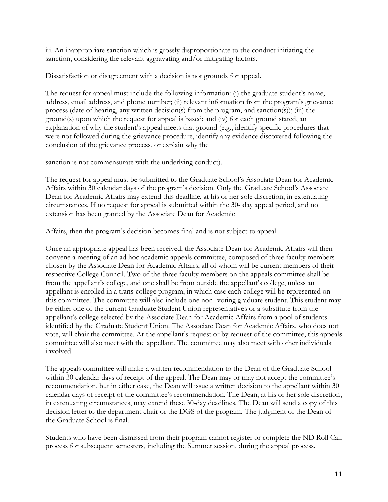iii. An inappropriate sanction which is grossly disproportionate to the conduct initiating the sanction, considering the relevant aggravating and/or mitigating factors.

Dissatisfaction or disagreement with a decision is not grounds for appeal.

The request for appeal must include the following information: (i) the graduate student's name, address, email address, and phone number; (ii) relevant information from the program's grievance process (date of hearing, any written decision(s) from the program, and sanction(s)); (iii) the ground(s) upon which the request for appeal is based; and (iv) for each ground stated, an explanation of why the student's appeal meets that ground (e.g., identify specific procedures that were not followed during the grievance procedure, identify any evidence discovered following the conclusion of the grievance process, or explain why the

sanction is not commensurate with the underlying conduct).

The request for appeal must be submitted to the Graduate School's Associate Dean for Academic Affairs within 30 calendar days of the program's decision. Only the Graduate School's Associate Dean for Academic Affairs may extend this deadline, at his or her sole discretion, in extenuating circumstances. If no request for appeal is submitted within the 30- day appeal period, and no extension has been granted by the Associate Dean for Academic

Affairs, then the program's decision becomes final and is not subject to appeal.

Once an appropriate appeal has been received, the Associate Dean for Academic Affairs will then convene a meeting of an ad hoc academic appeals committee, composed of three faculty members chosen by the Associate Dean for Academic Affairs, all of whom will be current members of their respective College Council. Two of the three faculty members on the appeals committee shall be from the appellant's college, and one shall be from outside the appellant's college, unless an appellant is enrolled in a trans-college program, in which case each college will be represented on this committee. The committee will also include one non- voting graduate student. This student may be either one of the current Graduate Student Union representatives or a substitute from the appellant's college selected by the Associate Dean for Academic Affairs from a pool of students identified by the Graduate Student Union. The Associate Dean for Academic Affairs, who does not vote, will chair the committee. At the appellant's request or by request of the committee, this appeals committee will also meet with the appellant. The committee may also meet with other individuals involved.

The appeals committee will make a written recommendation to the Dean of the Graduate School within 30 calendar days of receipt of the appeal. The Dean may or may not accept the committee's recommendation, but in either case, the Dean will issue a written decision to the appellant within 30 calendar days of receipt of the committee's recommendation. The Dean, at his or her sole discretion, in extenuating circumstances, may extend these 30-day deadlines. The Dean will send a copy of this decision letter to the department chair or the DGS of the program. The judgment of the Dean of the Graduate School is final.

Students who have been dismissed from their program cannot register or complete the ND Roll Call process for subsequent semesters, including the Summer session, during the appeal process.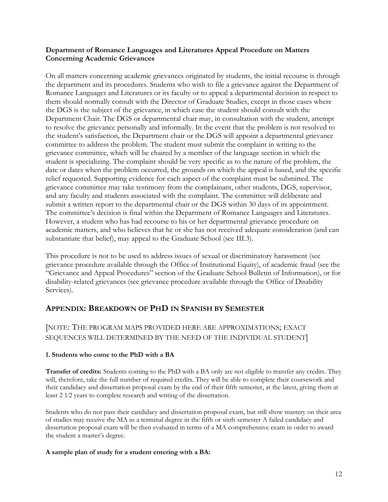#### **Department of Romance Languages and Literatures Appeal Procedure on Matters Concerning Academic Grievances**

On all matters concerning academic grievances originated by students, the initial recourse is through the department and its procedures. Students who wish to file a grievance against the Department of Romance Languages and Literatures or its faculty or to appeal a departmental decision in respect to them should normally consult with the Director of Graduate Studies, except in those cases where the DGS is the subject of the grievance, in which case the student should consult with the Department Chair. The DGS or departmental chair may, in consultation with the student, attempt to resolve the grievance personally and informally. In the event that the problem is not resolved to the student's satisfaction, the Department chair or the DGS will appoint a departmental grievance committee to address the problem. The student must submit the complaint in writing to the grievance committee, which will be chaired by a member of the language section in which the student is specializing. The complaint should be very specific as to the nature of the problem, the date or dates when the problem occurred, the grounds on which the appeal is based, and the specific relief requested. Supporting evidence for each aspect of the complaint must be submitted. The grievance committee may take testimony from the complainant, other students, DGS, supervisor, and any faculty and students associated with the complaint. The committee will deliberate and submit a written report to the departmental chair or the DGS within 30 days of its appointment. The committee's decision is final within the Department of Romance Languages and Literatures. However, a student who has had recourse to his or her departmental grievance procedure on academic matters, and who believes that he or she has not received adequate consideration (and can substantiate that belief), may appeal to the Graduate School (see III.3).

This procedure is not to be used to address issues of sexual or discriminatory harassment (see grievance procedure available through the Office of Institutional Equity), of academic fraud (see the "Grievance and Appeal Procedures" section of the Graduate School Bulletin of Information), or for disability-related grievances (see grievance procedure available through the Office of Disability Services).

## **APPENDIX: BREAKDOWN OF PHD IN SPANISH BY SEMESTER**

### [NOTE: THE PROGRAM MAPS PROVIDED HERE ARE APPROXIMATIONS; EXACT SEQUENCES WILL DETERMINED BY THE NEED OF THE INDIVIDUAL STUDENT]

#### **1. Students who come to the PhD with a BA**

**Transfer of credits:** Students coming to the PhD with a BA only are not eligible to transfer any credits. They will, therefore, take the full number of required credits. They will be able to complete their coursework and their candidacy and dissertation proposal exam by the end of their fifth semester, at the latest, giving them at least 2 1⁄2 years to complete research and writing of the dissertation.

Students who do not pass their candidacy and dissertation proposal exam, but still show mastery on their area of studies may receive the MA as a terminal degree in the fifth or sixth semester A failed candidacy and dissertation proposal exam will be then evaluated in terms of a MA comprehensive exam in order to award the student a master's degree.

#### **A sample plan of study for a student entering with a BA:**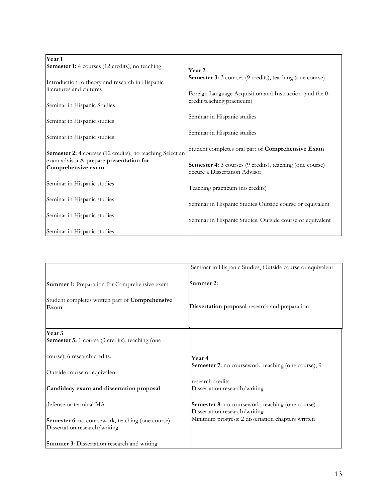| Year 1                                                        |                                                                                                  |
|---------------------------------------------------------------|--------------------------------------------------------------------------------------------------|
| Semester 1: 4 courses (12 credits), no teaching               | Year 2                                                                                           |
| Introduction to theory and research in Hispanic               | <b>Semester 3:</b> 3 courses (9 credits), teaching (one course)                                  |
| literatures and cultures                                      | Foreign Language Acquisition and Instruction (and the 0-                                         |
| Seminar in Hispanic Studies                                   | credit teaching practicum)                                                                       |
| Seminar in Hispanic studies                                   | Seminar in Hispanic studies                                                                      |
| Seminar in Hispanic studies                                   | Seminar in Hispanic studies                                                                      |
| Semester 2: 4 courses (12 credits), no teaching Select an     | Student completes oral part of Comprehensive Exam                                                |
| exam advisor & prepare presentation for<br>Comprehensive exam | <b>Semester 4:</b> 3 courses (9 credits), teaching (one course)<br>Secure a Dissertation Advisor |
| Seminar in Hispanic studies                                   | Teaching practicum (no credits)                                                                  |
| Seminar in Hispanic studies                                   | Seminar in Hispanic Studies Outside course or equivalent                                         |
| Seminar in Hispanic studies                                   | Seminar in Hispanic Studies, Outside course or equivalent                                        |
| Seminar in Hispanic studies                                   |                                                                                                  |

|                                                                                                               | Seminar in Hispanic Studies, Outside course or equivalent                         |
|---------------------------------------------------------------------------------------------------------------|-----------------------------------------------------------------------------------|
| <b>Summer 1:</b> Preparation for Comprehensive exam<br>Student completes written part of <b>Comprehensive</b> | Summer 2:                                                                         |
| Exam                                                                                                          | Dissertation proposal research and preparation                                    |
| Year 3                                                                                                        |                                                                                   |
| <b>Semester 5:</b> 1 course (3 credits), teaching (one                                                        |                                                                                   |
| course); 6 research credits.                                                                                  | Year 4<br><b>Semester 7:</b> no coursework, teaching (one course); 9              |
| Outside course or equivalent                                                                                  |                                                                                   |
| Candidacy exam and dissertation proposal                                                                      | research credits.<br>Dissertation research/writing                                |
| defense or terminal MA                                                                                        | Semester 8: no coursework, teaching (one course)<br>Dissertation research/writing |
| Semester 6: no coursework, teaching (one course)<br>Dissertation research/writing                             | Minimum progress: 2 dissertation chapters written                                 |
| <b>Summer 3:</b> Dissertation research and writing                                                            |                                                                                   |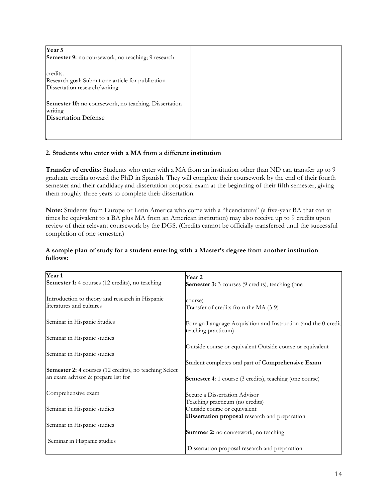| Year 5<br>Semester 9: no coursework, no teaching; 9 research                                    |
|-------------------------------------------------------------------------------------------------|
| credits.<br>Research goal: Submit one article for publication<br>Dissertation research/writing  |
| Semester 10: no coursework, no teaching. Dissertation<br>writing<br><b>Dissertation Defense</b> |
|                                                                                                 |

#### **2. Students who enter with a MA from a different institution**

**Transfer of credits:** Students who enter with a MA from an institution other than ND can transfer up to 9 graduate credits toward the PhD in Spanish. They will complete their coursework by the end of their fourth semester and their candidacy and dissertation proposal exam at the beginning of their fifth semester, giving them roughly three years to complete their dissertation.

**Note:** Students from Europe or Latin America who come with a "licenciatura" (a five-year BA that can at times be equivalent to a BA plus MA from an American institution) may also receive up to 9 credits upon review of their relevant coursework by the DGS. (Credits cannot be officially transferred until the successful completion of one semester.)

#### **A sample plan of study for a student entering with a Master's degree from another institution follows:**

| Year 1<br>Semester 1: 4 courses (12 credits), no teaching                                           | Year 2<br><b>Semester 3:</b> 3 courses (9 credits), teaching (one                     |
|-----------------------------------------------------------------------------------------------------|---------------------------------------------------------------------------------------|
| Introduction to theory and research in Hispanic<br>literatures and cultures                         | course)<br>Transfer of credits from the MA (3-9)                                      |
| Seminar in Hispanic Studies                                                                         | Foreign Language Acquisition and Instruction (and the 0-credit<br>teaching practicum) |
| Seminar in Hispanic studies                                                                         |                                                                                       |
| Seminar in Hispanic studies                                                                         | Outside course or equivalent Outside course or equivalent                             |
|                                                                                                     | Student completes oral part of Comprehensive Exam                                     |
| <b>Semester 2:</b> 4 courses (12 credits), no teaching Select<br>an exam advisor & prepare list for | <b>Semester 4:</b> 1 course (3 credits), teaching (one course)                        |
| Comprehensive exam                                                                                  | Secure a Dissertation Advisor                                                         |
|                                                                                                     | Teaching practicum (no credits)                                                       |
| Seminar in Hispanic studies                                                                         | Outside course or equivalent                                                          |
|                                                                                                     | Dissertation proposal research and preparation                                        |
| Seminar in Hispanic studies                                                                         |                                                                                       |
|                                                                                                     | Summer 2: no coursework, no teaching                                                  |
| Seminar in Hispanic studies                                                                         |                                                                                       |
|                                                                                                     | Dissertation proposal research and preparation                                        |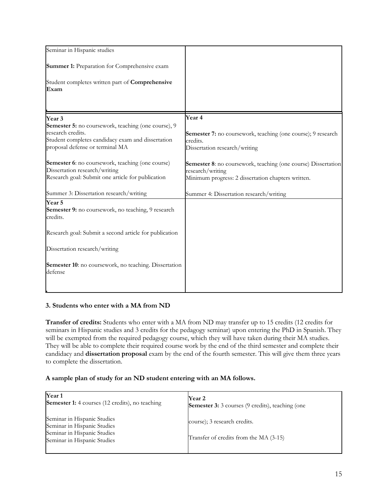| Seminar in Hispanic studies                                                                                                                                             |                                                                                                                                                |
|-------------------------------------------------------------------------------------------------------------------------------------------------------------------------|------------------------------------------------------------------------------------------------------------------------------------------------|
| <b>Summer 1:</b> Preparation for Comprehensive exam                                                                                                                     |                                                                                                                                                |
| Student completes written part of Comprehensive<br>Exam                                                                                                                 |                                                                                                                                                |
| Year 3                                                                                                                                                                  | <b>Year 4</b>                                                                                                                                  |
| <b>Semester 5:</b> no coursework, teaching (one course), 9<br>research credits.<br>Student completes candidacy exam and dissertation<br>proposal defense or terminal MA | Semester 7: no coursework, teaching (one course); 9 research<br>credits.<br>Dissertation research/writing                                      |
| Semester 6: no coursework, teaching (one course)<br>Dissertation research/writing<br>Research goal: Submit one article for publication                                  | <b>Semester 8:</b> no coursework, teaching (one course) Dissertation<br>research/writing<br>Minimum progress: 2 dissertation chapters written. |
| Summer 3: Dissertation research/writing                                                                                                                                 | Summer 4: Dissertation research/writing                                                                                                        |
| Year 5<br>Semester 9: no coursework, no teaching, 9 research<br>credits.                                                                                                |                                                                                                                                                |
| Research goal: Submit a second article for publication                                                                                                                  |                                                                                                                                                |
| Dissertation research/writing                                                                                                                                           |                                                                                                                                                |
| Semester 10: no coursework, no teaching. Dissertation<br>defense                                                                                                        |                                                                                                                                                |
|                                                                                                                                                                         |                                                                                                                                                |

#### **3. Students who enter with a MA from ND**

**Transfer of credits:** Students who enter with a MA from ND may transfer up to 15 credits (12 credits for seminars in Hispanic studies and 3 credits for the pedagogy seminar) upon entering the PhD in Spanish. They will be exempted from the required pedagogy course, which they will have taken during their MA studies. They will be able to complete their required course work by the end of the third semester and complete their candidacy and **dissertation proposal** exam by the end of the fourth semester. This will give them three years to complete the dissertation.

#### **A sample plan of study for an ND student entering with an MA follows.**

| Year <sub>1</sub><br>Semester 1: 4 courses (12 credits), no teaching                                                     | Year 2<br><b>Semester 3:</b> 3 courses (9 credits), teaching (one      |
|--------------------------------------------------------------------------------------------------------------------------|------------------------------------------------------------------------|
| Seminar in Hispanic Studies<br>Seminar in Hispanic Studies<br>Seminar in Hispanic Studies<br>Seminar in Hispanic Studies | course); 3 research credits.<br>Transfer of credits from the MA (3-15) |
|                                                                                                                          |                                                                        |